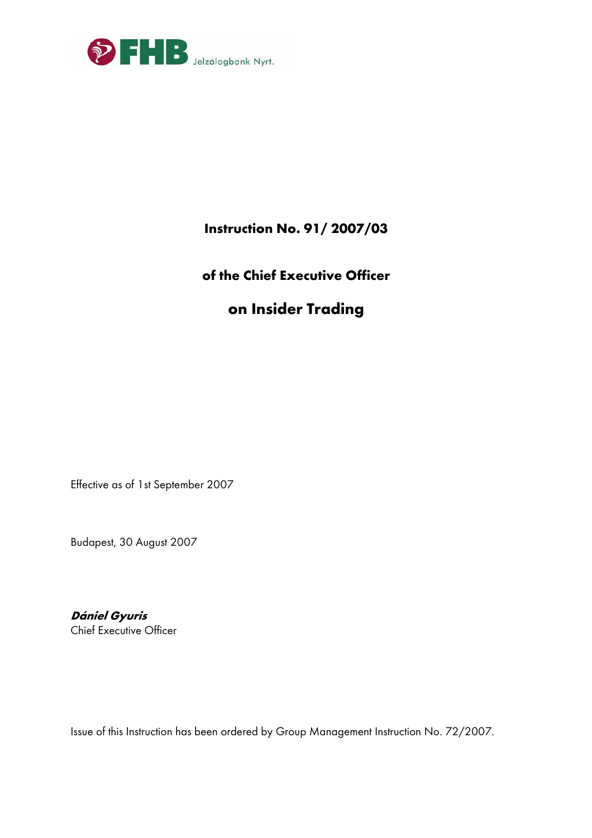

# **Instruction No. 91/ 2007/03**

# **of the Chief Executive Officer**

# **on Insider Trading**

Effective as of 1st September 2007

Budapest, 30 August 2007

**Dániel Gyuris**  Chief Executive Officer

Issue of this Instruction has been ordered by Group Management Instruction No. 72/2007.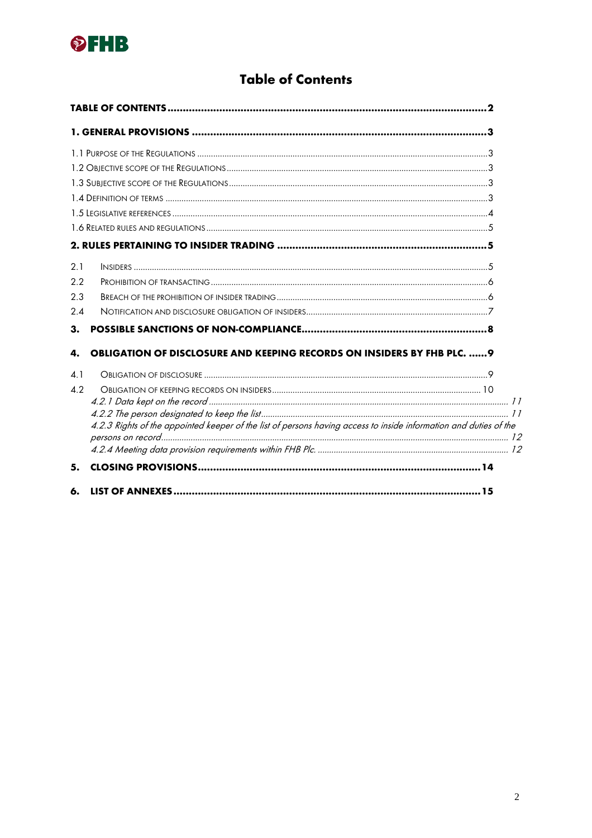

# **Table of Contents**

|     |                                                                                                                   | 2 |
|-----|-------------------------------------------------------------------------------------------------------------------|---|
|     | 1. GENERAL PROVISIONS ………………………………………………………………………………………3                                                          |   |
|     |                                                                                                                   |   |
|     |                                                                                                                   |   |
|     |                                                                                                                   |   |
|     |                                                                                                                   |   |
|     |                                                                                                                   |   |
|     |                                                                                                                   |   |
|     |                                                                                                                   |   |
| 2.1 |                                                                                                                   |   |
| 2.2 |                                                                                                                   |   |
| 2.3 |                                                                                                                   |   |
| 2.4 |                                                                                                                   |   |
| 3.  |                                                                                                                   |   |
| 4.  | <b>OBLIGATION OF DISCLOSURE AND KEEPING RECORDS ON INSIDERS BY FHB PLC. 9</b>                                     |   |
| 4.1 |                                                                                                                   |   |
| 4.2 |                                                                                                                   |   |
|     |                                                                                                                   |   |
|     |                                                                                                                   |   |
|     | 4.2.3 Rights of the appointed keeper of the list of persons having access to inside information and duties of the |   |
|     |                                                                                                                   |   |
| 5.  |                                                                                                                   |   |
| 6.  |                                                                                                                   |   |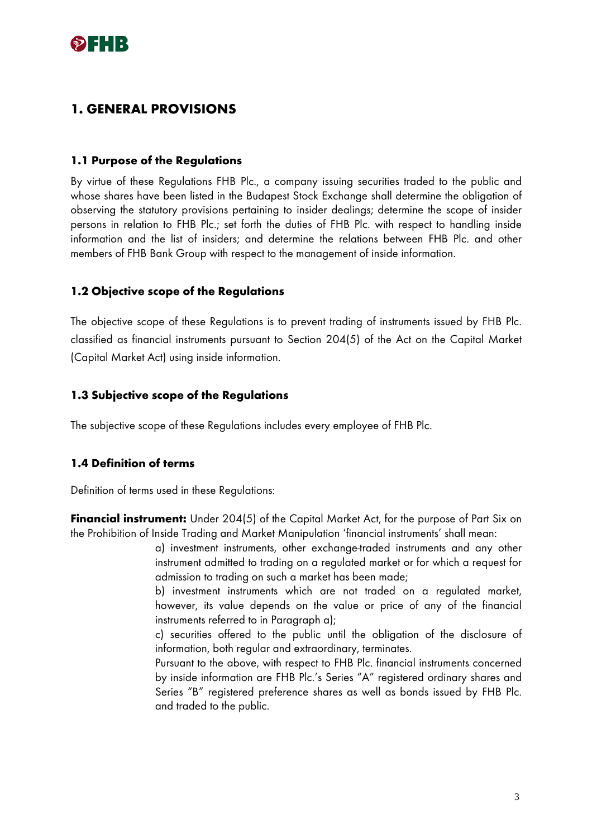

## **1. GENERAL PROVISIONS**

#### **1.1 Purpose of the Regulations**

By virtue of these Regulations FHB Plc., a company issuing securities traded to the public and whose shares have been listed in the Budapest Stock Exchange shall determine the obligation of observing the statutory provisions pertaining to insider dealings; determine the scope of insider persons in relation to FHB Plc.; set forth the duties of FHB Plc. with respect to handling inside information and the list of insiders; and determine the relations between FHB Plc. and other members of FHB Bank Group with respect to the management of inside information.

### **1.2 Objective scope of the Regulations**

The objective scope of these Regulations is to prevent trading of instruments issued by FHB Plc. classified as financial instruments pursuant to Section 204(5) of the Act on the Capital Market (Capital Market Act) using inside information.

### **1.3 Subjective scope of the Regulations**

The subjective scope of these Regulations includes every employee of FHB Plc.

### **1.4 Definition of terms**

Definition of terms used in these Regulations:

**Financial instrument:** Under 204(5) of the Capital Market Act, for the purpose of Part Six on the Prohibition of Inside Trading and Market Manipulation 'financial instruments' shall mean:

> a) investment instruments, other exchange-traded instruments and any other instrument admitted to trading on a regulated market or for which a request for admission to trading on such a market has been made;

> b) investment instruments which are not traded on a regulated market, however, its value depends on the value or price of any of the financial instruments referred to in Paragraph a);

> c) securities offered to the public until the obligation of the disclosure of information, both regular and extraordinary, terminates.

> Pursuant to the above, with respect to FHB Plc. financial instruments concerned by inside information are FHB Plc.'s Series "A" registered ordinary shares and Series "B" registered preference shares as well as bonds issued by FHB Plc. and traded to the public.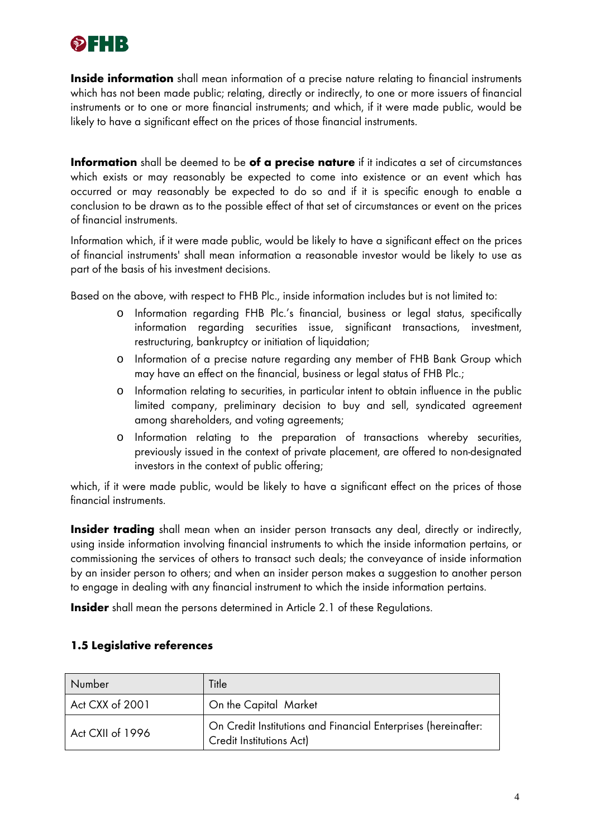

**Inside information** shall mean information of a precise nature relating to financial instruments which has not been made public; relating, directly or indirectly, to one or more issuers of financial instruments or to one or more financial instruments; and which, if it were made public, would be likely to have a significant effect on the prices of those financial instruments.

**Information** shall be deemed to be **of a precise nature** if it indicates a set of circumstances which exists or may reasonably be expected to come into existence or an event which has occurred or may reasonably be expected to do so and if it is specific enough to enable a conclusion to be drawn as to the possible effect of that set of circumstances or event on the prices of financial instruments.

Information which, if it were made public, would be likely to have a significant effect on the prices of financial instruments' shall mean information a reasonable investor would be likely to use as part of the basis of his investment decisions.

Based on the above, with respect to FHB Plc., inside information includes but is not limited to:

- o Information regarding FHB Plc.'s financial, business or legal status, specifically information regarding securities issue, significant transactions, investment, restructuring, bankruptcy or initiation of liquidation;
- o Information of a precise nature regarding any member of FHB Bank Group which may have an effect on the financial, business or legal status of FHB Plc.;
- o Information relating to securities, in particular intent to obtain influence in the public limited company, preliminary decision to buy and sell, syndicated agreement among shareholders, and voting agreements;
- o Information relating to the preparation of transactions whereby securities, previously issued in the context of private placement, are offered to non-designated investors in the context of public offering;

which, if it were made public, would be likely to have a significant effect on the prices of those financial instruments.

**Insider trading** shall mean when an insider person transacts any deal, directly or indirectly, using inside information involving financial instruments to which the inside information pertains, or commissioning the services of others to transact such deals; the conveyance of inside information by an insider person to others; and when an insider person makes a suggestion to another person to engage in dealing with any financial instrument to which the inside information pertains.

**Insider** shall mean the persons determined in Article 2.1 of these Regulations.

## **1.5 Legislative references**

| Number           | Title                                                                                      |
|------------------|--------------------------------------------------------------------------------------------|
| Act CXX of 2001  | On the Capital Market                                                                      |
| Act CXII of 1996 | On Credit Institutions and Financial Enterprises (hereinafter:<br>Credit Institutions Act) |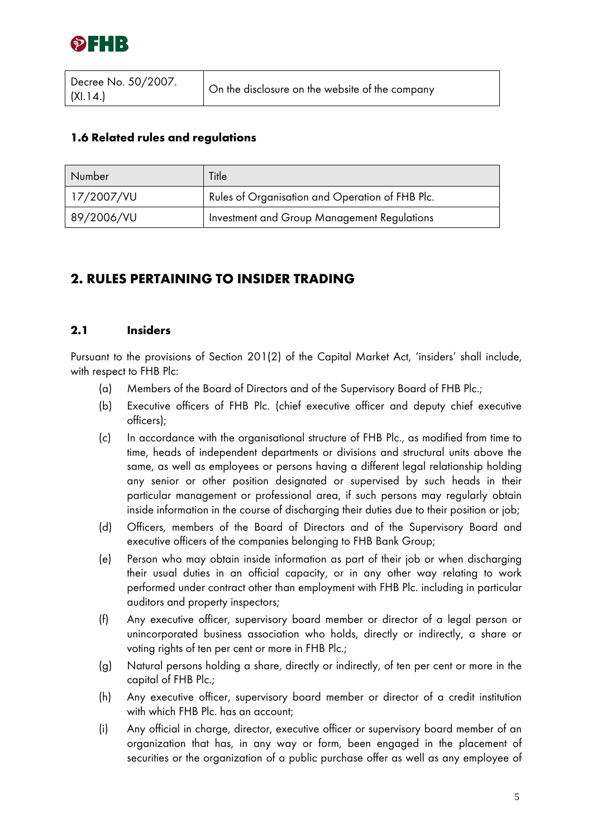

## **1.6 Related rules and regulations**

| Number     | Title                                           |
|------------|-------------------------------------------------|
| 17/2007/VU | Rules of Organisation and Operation of FHB Plc. |
| 89/2006/VU | Investment and Group Management Regulations     |

# **2. RULES PERTAINING TO INSIDER TRADING**

### **2.1 Insiders**

Pursuant to the provisions of Section 201(2) of the Capital Market Act, 'insiders' shall include, with respect to FHB Plc:

- (a) Members of the Board of Directors and of the Supervisory Board of FHB Plc.;
- (b) Executive officers of FHB Plc. (chief executive officer and deputy chief executive officers);
- (c) In accordance with the organisational structure of FHB Plc., as modified from time to time, heads of independent departments or divisions and structural units above the same, as well as employees or persons having a different legal relationship holding any senior or other position designated or supervised by such heads in their particular management or professional area, if such persons may regularly obtain inside information in the course of discharging their duties due to their position or job;
- (d) Officers, members of the Board of Directors and of the Supervisory Board and executive officers of the companies belonging to FHB Bank Group;
- (e) Person who may obtain inside information as part of their job or when discharging their usual duties in an official capacity, or in any other way relating to work performed under contract other than employment with FHB Plc. including in particular auditors and property inspectors;
- (f) Any executive officer, supervisory board member or director of a legal person or unincorporated business association who holds, directly or indirectly, a share or voting rights of ten per cent or more in FHB Plc.;
- (g) Natural persons holding a share, directly or indirectly, of ten per cent or more in the capital of FHB Plc.;
- (h) Any executive officer, supervisory board member or director of a credit institution with which FHB Plc. has an account;
- (i) Any official in charge, director, executive officer or supervisory board member of an organization that has, in any way or form, been engaged in the placement of securities or the organization of a public purchase offer as well as any employee of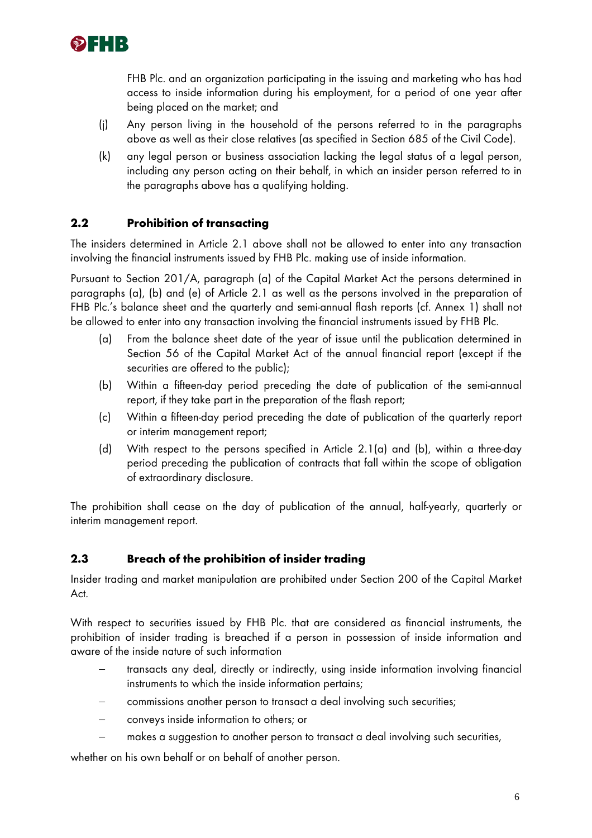

FHB Plc. and an organization participating in the issuing and marketing who has had access to inside information during his employment, for a period of one year after being placed on the market; and

- (j) Any person living in the household of the persons referred to in the paragraphs above as well as their close relatives (as specified in Section 685 of the Civil Code).
- (k) any legal person or business association lacking the legal status of a legal person, including any person acting on their behalf, in which an insider person referred to in the paragraphs above has a qualifying holding.

### **2.2 Prohibition of transacting**

The insiders determined in Article 2.1 above shall not be allowed to enter into any transaction involving the financial instruments issued by FHB Plc. making use of inside information.

Pursuant to Section 201/A, paragraph (a) of the Capital Market Act the persons determined in paragraphs (a), (b) and (e) of Article 2.1 as well as the persons involved in the preparation of FHB Plc.'s balance sheet and the quarterly and semi-annual flash reports (cf. Annex 1) shall not be allowed to enter into any transaction involving the financial instruments issued by FHB Plc.

- (a) From the balance sheet date of the year of issue until the publication determined in Section 56 of the Capital Market Act of the annual financial report (except if the securities are offered to the public);
- (b) Within a fifteen-day period preceding the date of publication of the semi-annual report, if they take part in the preparation of the flash report;
- (c) Within a fifteen-day period preceding the date of publication of the quarterly report or interim management report;
- (d) With respect to the persons specified in Article 2.1(a) and (b), within a three-day period preceding the publication of contracts that fall within the scope of obligation of extraordinary disclosure.

The prohibition shall cease on the day of publication of the annual, half-yearly, quarterly or interim management report.

### **2.3 Breach of the prohibition of insider trading**

Insider trading and market manipulation are prohibited under Section 200 of the Capital Market Act.

With respect to securities issued by FHB Plc. that are considered as financial instruments, the prohibition of insider trading is breached if a person in possession of inside information and aware of the inside nature of such information

- transacts any deal, directly or indirectly, using inside information involving financial instruments to which the inside information pertains;
- commissions another person to transact a deal involving such securities;
- − conveys inside information to others; or
- makes a suggestion to another person to transact a deal involving such securities,

whether on his own behalf or on behalf of another person.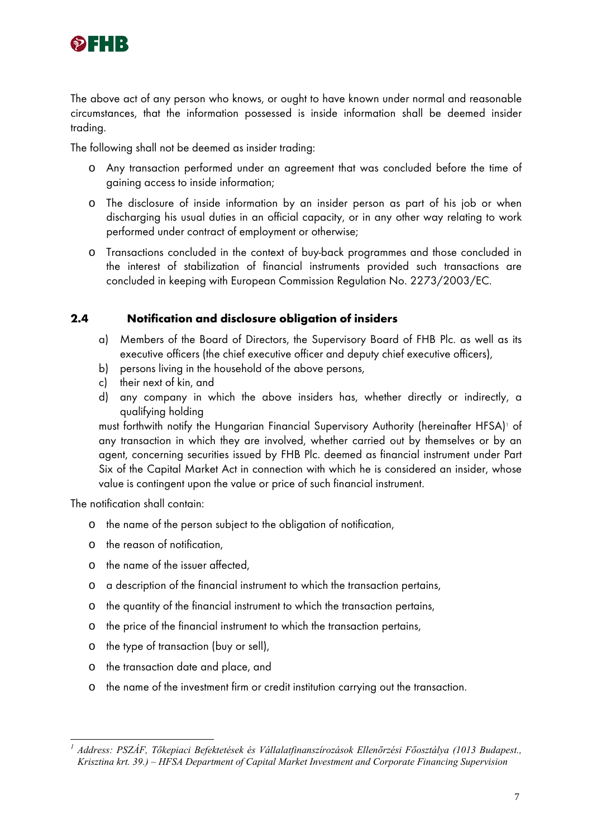

The above act of any person who knows, or ought to have known under normal and reasonable circumstances, that the information possessed is inside information shall be deemed insider trading.

The following shall not be deemed as insider trading:

- o Any transaction performed under an agreement that was concluded before the time of gaining access to inside information;
- o The disclosure of inside information by an insider person as part of his job or when discharging his usual duties in an official capacity, or in any other way relating to work performed under contract of employment or otherwise;
- o Transactions concluded in the context of buy-back programmes and those concluded in the interest of stabilization of financial instruments provided such transactions are concluded in keeping with European Commission Regulation No. 2273/2003/EC.

### **2.4 Notification and disclosure obligation of insiders**

- a) Members of the Board of Directors, the Supervisory Board of FHB Plc. as well as its executive officers (the chief executive officer and deputy chief executive officers),
- b) persons living in the household of the above persons,
- c) their next of kin, and
- d) any company in which the above insiders has, whether directly or indirectly, a qualifying holding

must forthwith notify the Hungarian Financial Supervisory Authority (hereinafter HFSA)<sup>1</sup> of any transaction in which they are involved, whether carried out by themselves or by an agent, concerning securities issued by FHB Plc. deemed as financial instrument under Part Six of the Capital Market Act in connection with which he is considered an insider, whose value is contingent upon the value or price of such financial instrument.

The notification shall contain:

- o the name of the person subject to the obligation of notification,
- o the reason of notification,
- o the name of the issuer affected,
- o a description of the financial instrument to which the transaction pertains,
- o the quantity of the financial instrument to which the transaction pertains,
- o the price of the financial instrument to which the transaction pertains,
- o the type of transaction (buy or sell),
- o the transaction date and place, and
- o the name of the investment firm or credit institution carrying out the transaction.

 *1 Address: PSZÁF, Tőkepiaci Befektetések és Vállalatfinanszírozások Ellenőrzési Főosztálya (1013 Budapest., Krisztina krt. 39.) – HFSA Department of Capital Market Investment and Corporate Financing Supervision*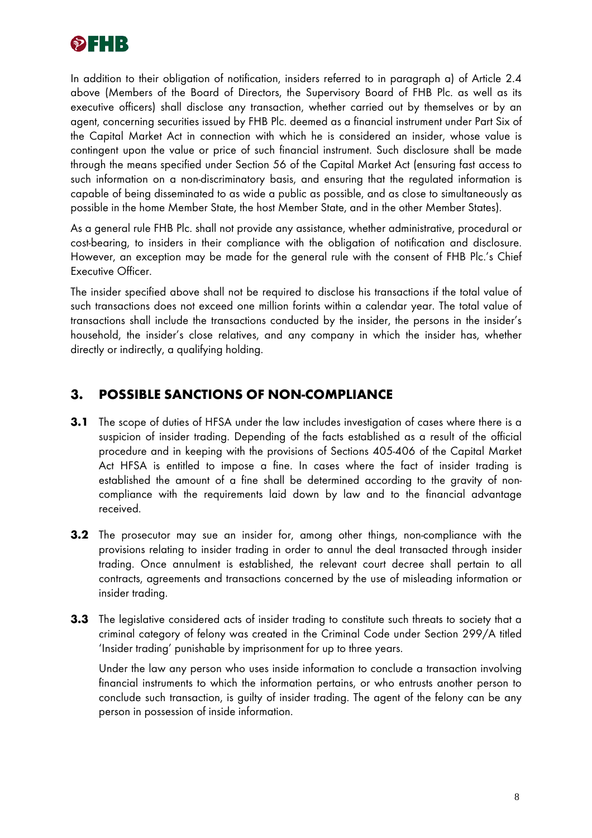

In addition to their obligation of notification, insiders referred to in paragraph a) of Article 2.4 above (Members of the Board of Directors, the Supervisory Board of FHB Plc. as well as its executive officers) shall disclose any transaction, whether carried out by themselves or by an agent, concerning securities issued by FHB Plc. deemed as a financial instrument under Part Six of the Capital Market Act in connection with which he is considered an insider, whose value is contingent upon the value or price of such financial instrument. Such disclosure shall be made through the means specified under Section 56 of the Capital Market Act (ensuring fast access to such information on a non-discriminatory basis, and ensuring that the regulated information is capable of being disseminated to as wide a public as possible, and as close to simultaneously as possible in the home Member State, the host Member State, and in the other Member States).

As a general rule FHB Plc. shall not provide any assistance, whether administrative, procedural or cost-bearing, to insiders in their compliance with the obligation of notification and disclosure. However, an exception may be made for the general rule with the consent of FHB Plc.'s Chief Executive Officer.

The insider specified above shall not be required to disclose his transactions if the total value of such transactions does not exceed one million forints within a calendar year. The total value of transactions shall include the transactions conducted by the insider, the persons in the insider's household, the insider's close relatives, and any company in which the insider has, whether directly or indirectly, a qualifying holding.

# **3. POSSIBLE SANCTIONS OF NON-COMPLIANCE**

- **3.1** The scope of duties of HFSA under the law includes investigation of cases where there is a suspicion of insider trading. Depending of the facts established as a result of the official procedure and in keeping with the provisions of Sections 405-406 of the Capital Market Act HFSA is entitled to impose a fine. In cases where the fact of insider trading is established the amount of a fine shall be determined according to the gravity of noncompliance with the requirements laid down by law and to the financial advantage received.
- **3.2** The prosecutor may sue an insider for, among other things, non-compliance with the provisions relating to insider trading in order to annul the deal transacted through insider trading. Once annulment is established, the relevant court decree shall pertain to all contracts, agreements and transactions concerned by the use of misleading information or insider trading.
- **3.3** The legislative considered acts of insider trading to constitute such threats to society that a criminal category of felony was created in the Criminal Code under Section 299/A titled 'Insider trading' punishable by imprisonment for up to three years.

Under the law any person who uses inside information to conclude a transaction involving financial instruments to which the information pertains, or who entrusts another person to conclude such transaction, is guilty of insider trading. The agent of the felony can be any person in possession of inside information.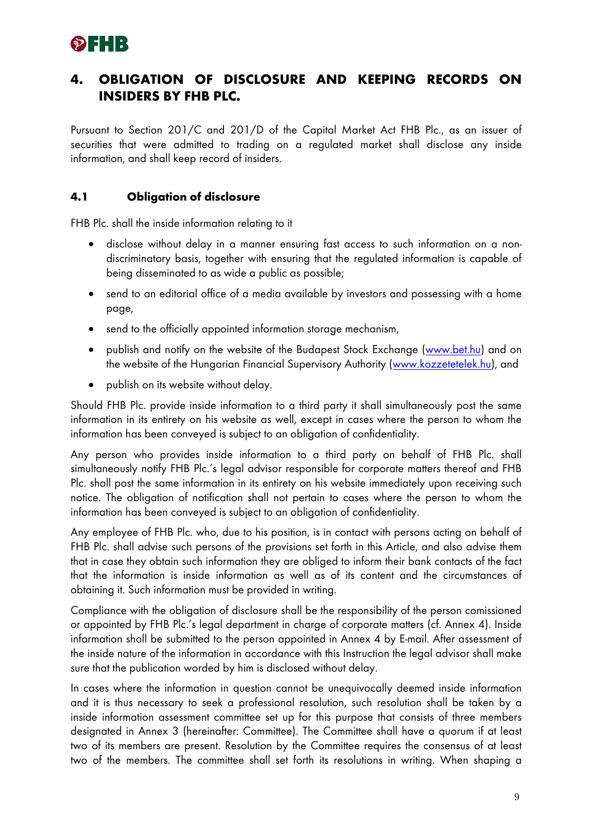

# **4. OBLIGATION OF DISCLOSURE AND KEEPING RECORDS ON INSIDERS BY FHB PLC.**

Pursuant to Section 201/C and 201/D of the Capital Market Act FHB Plc., as an issuer of securities that were admitted to trading on a regulated market shall disclose any inside information, and shall keep record of insiders.

### **4.1 Obligation of disclosure**

FHB Plc. shall the inside information relating to it

- disclose without delay in a manner ensuring fast access to such information on a nondiscriminatory basis, together with ensuring that the regulated information is capable of being disseminated to as wide a public as possible;
- send to an editorial office of a media available by investors and possessing with a home page,
- send to the officially appointed information storage mechanism,
- publish and notify on the website of the Budapest Stock Exchange (www.bet.hu) and on the website of the Hungarian Financial Supervisory Authority (www.kozzetetelek.hu), and
- publish on its website without delay.

Should FHB Plc. provide inside information to a third party it shall simultaneously post the same information in its entirety on his website as well, except in cases where the person to whom the information has been conveyed is subject to an obligation of confidentiality.

Any person who provides inside information to a third party on behalf of FHB Plc. shall simultaneously notify FHB Plc.'s legal advisor responsible for corporate matters thereof and FHB Plc. shall post the same information in its entirety on his website immediately upon receiving such notice. The obligation of notification shall not pertain to cases where the person to whom the information has been conveyed is subject to an obligation of confidentiality.

Any employee of FHB Plc. who, due to his position, is in contact with persons acting on behalf of FHB Plc. shall advise such persons of the provisions set forth in this Article, and also advise them that in case they obtain such information they are obliged to inform their bank contacts of the fact that the information is inside information as well as of its content and the circumstances of obtaining it. Such information must be provided in writing.

Compliance with the obligation of disclosure shall be the responsibility of the person comissioned or appointed by FHB Plc.'s legal department in charge of corporate matters (cf. Annex 4). Inside information shall be submitted to the person appointed in Annex 4 by E-mail. After assessment of the inside nature of the information in accordance with this Instruction the legal advisor shall make sure that the publication worded by him is disclosed without delay.

In cases where the information in question cannot be unequivocally deemed inside information and it is thus necessary to seek a professional resolution, such resolution shall be taken by a inside information assessment committee set up for this purpose that consists of three members designated in Annex 3 (hereinafter: Committee). The Committee shall have a quorum if at least two of its members are present. Resolution by the Committee requires the consensus of at least two of the members. The committee shall set forth its resolutions in writing. When shaping a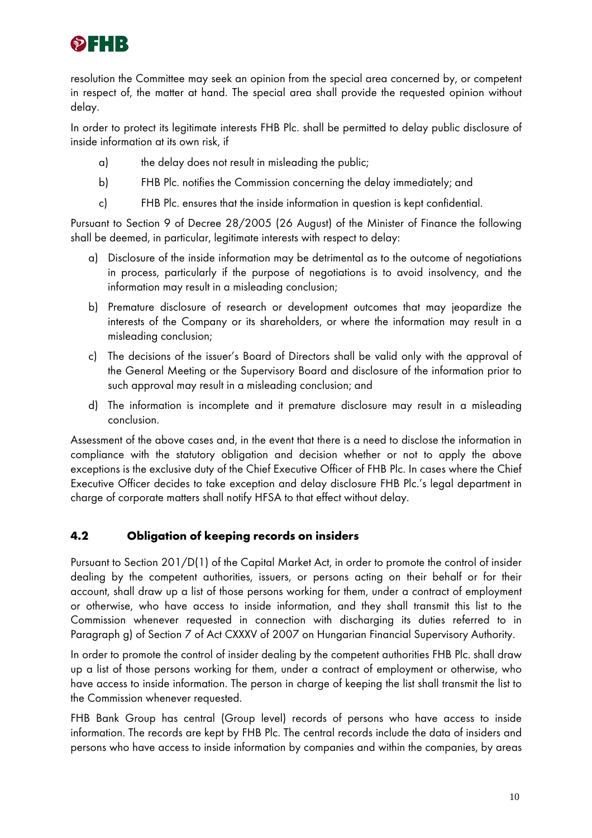

resolution the Committee may seek an opinion from the special area concerned by, or competent in respect of, the matter at hand. The special area shall provide the requested opinion without delay.

In order to protect its legitimate interests FHB Plc. shall be permitted to delay public disclosure of inside information at its own risk, if

- a) the delay does not result in misleading the public;
- b) FHB Plc. notifies the Commission concerning the delay immediately; and
- c) FHB Plc. ensures that the inside information in question is kept confidential.

Pursuant to Section 9 of Decree 28/2005 (26 August) of the Minister of Finance the following shall be deemed, in particular, legitimate interests with respect to delay:

- a) Disclosure of the inside information may be detrimental as to the outcome of negotiations in process, particularly if the purpose of negotiations is to avoid insolvency, and the information may result in a misleading conclusion;
- b) Premature disclosure of research or development outcomes that may jeopardize the interests of the Company or its shareholders, or where the information may result in a misleading conclusion;
- c) The decisions of the issuer's Board of Directors shall be valid only with the approval of the General Meeting or the Supervisory Board and disclosure of the information prior to such approval may result in a misleading conclusion; and
- d) The information is incomplete and it premature disclosure may result in a misleading conclusion.

Assessment of the above cases and, in the event that there is a need to disclose the information in compliance with the statutory obligation and decision whether or not to apply the above exceptions is the exclusive duty of the Chief Executive Officer of FHB Plc. In cases where the Chief Executive Officer decides to take exception and delay disclosure FHB Plc.'s legal department in charge of corporate matters shall notify HFSA to that effect without delay.

## **4.2 Obligation of keeping records on insiders**

Pursuant to Section 201/D(1) of the Capital Market Act, in order to promote the control of insider dealing by the competent authorities, issuers, or persons acting on their behalf or for their account, shall draw up a list of those persons working for them, under a contract of employment or otherwise, who have access to inside information, and they shall transmit this list to the Commission whenever requested in connection with discharging its duties referred to in Paragraph g) of Section 7 of Act CXXXV of 2007 on Hungarian Financial Supervisory Authority.

In order to promote the control of insider dealing by the competent authorities FHB Plc. shall draw up a list of those persons working for them, under a contract of employment or otherwise, who have access to inside information. The person in charge of keeping the list shall transmit the list to the Commission whenever requested.

FHB Bank Group has central (Group level) records of persons who have access to inside information. The records are kept by FHB Plc. The central records include the data of insiders and persons who have access to inside information by companies and within the companies, by areas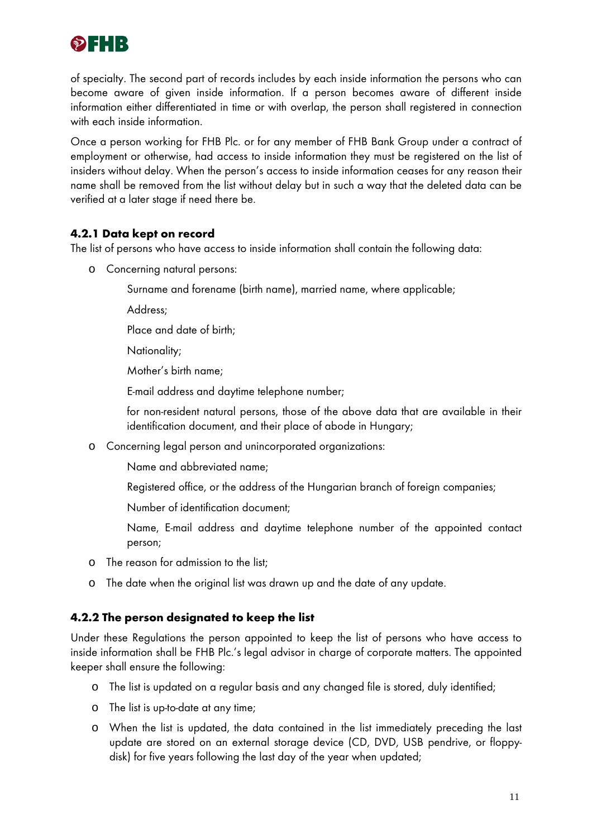

of specialty. The second part of records includes by each inside information the persons who can become aware of given inside information. If a person becomes aware of different inside information either differentiated in time or with overlap, the person shall registered in connection with each inside information.

Once a person working for FHB Plc. or for any member of FHB Bank Group under a contract of employment or otherwise, had access to inside information they must be registered on the list of insiders without delay. When the person's access to inside information ceases for any reason their name shall be removed from the list without delay but in such a way that the deleted data can be verified at a later stage if need there be.

### **4.2.1 Data kept on record**

The list of persons who have access to inside information shall contain the following data:

- o Concerning natural persons:
	- Surname and forename (birth name), married name, where applicable;
	- Address;
	- Place and date of birth;
	- Nationality;
	- Mother's birth name;

E-mail address and daytime telephone number;

for non-resident natural persons, those of the above data that are available in their identification document, and their place of abode in Hungary;

- o Concerning legal person and unincorporated organizations:
	- Name and abbreviated name;
	- Registered office, or the address of the Hungarian branch of foreign companies;
	- Number of identification document;
	- Name, E-mail address and daytime telephone number of the appointed contact person;
- o The reason for admission to the list;
- o The date when the original list was drawn up and the date of any update.

## **4.2.2 The person designated to keep the list**

Under these Regulations the person appointed to keep the list of persons who have access to inside information shall be FHB Plc.'s legal advisor in charge of corporate matters. The appointed keeper shall ensure the following:

- o The list is updated on a regular basis and any changed file is stored, duly identified;
- o The list is up-to-date at any time;
- o When the list is updated, the data contained in the list immediately preceding the last update are stored on an external storage device (CD, DVD, USB pendrive, or floppydisk) for five years following the last day of the year when updated;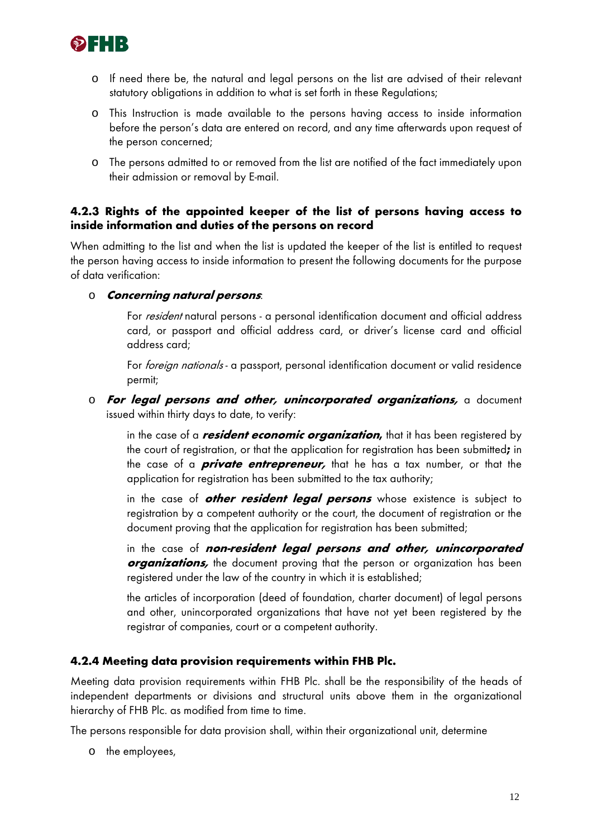

- o If need there be, the natural and legal persons on the list are advised of their relevant statutory obligations in addition to what is set forth in these Regulations;
- o This Instruction is made available to the persons having access to inside information before the person's data are entered on record, and any time afterwards upon request of the person concerned;
- o The persons admitted to or removed from the list are notified of the fact immediately upon their admission or removal by E-mail.

### **4.2.3 Rights of the appointed keeper of the list of persons having access to inside information and duties of the persons on record**

When admitting to the list and when the list is updated the keeper of the list is entitled to request the person having access to inside information to present the following documents for the purpose of data verification:

o **Concerning natural persons**:

For resident natural persons - a personal identification document and official address card, or passport and official address card, or driver's license card and official address card;

For foreign nationals - a passport, personal identification document or valid residence permit;

o **For legal persons and other, unincorporated organizations,** a document issued within thirty days to date, to verify:

in the case of a **resident economic organization,** that it has been registered by the court of registration, or that the application for registration has been submitted**;** in the case of a **private entrepreneur,** that he has a tax number, or that the application for registration has been submitted to the tax authority;

in the case of **other resident legal persons** whose existence is subject to registration by a competent authority or the court, the document of registration or the document proving that the application for registration has been submitted;

in the case of **non-resident legal persons and other, unincorporated**  *organizations*, the document proving that the person or organization has been registered under the law of the country in which it is established;

the articles of incorporation (deed of foundation, charter document) of legal persons and other, unincorporated organizations that have not yet been registered by the registrar of companies, court or a competent authority.

### **4.2.4 Meeting data provision requirements within FHB Plc.**

Meeting data provision requirements within FHB Plc. shall be the responsibility of the heads of independent departments or divisions and structural units above them in the organizational hierarchy of FHB Plc. as modified from time to time.

The persons responsible for data provision shall, within their organizational unit, determine

o the employees,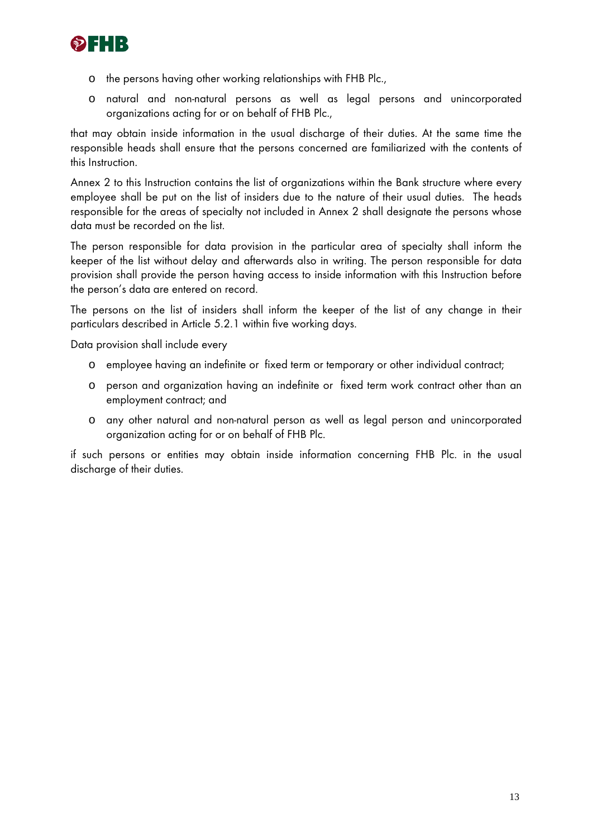

- o the persons having other working relationships with FHB Plc.,
- o natural and non-natural persons as well as legal persons and unincorporated organizations acting for or on behalf of FHB Plc.,

that may obtain inside information in the usual discharge of their duties. At the same time the responsible heads shall ensure that the persons concerned are familiarized with the contents of this Instruction.

Annex 2 to this Instruction contains the list of organizations within the Bank structure where every employee shall be put on the list of insiders due to the nature of their usual duties. The heads responsible for the areas of specialty not included in Annex 2 shall designate the persons whose data must be recorded on the list.

The person responsible for data provision in the particular area of specialty shall inform the keeper of the list without delay and afterwards also in writing. The person responsible for data provision shall provide the person having access to inside information with this Instruction before the person's data are entered on record.

The persons on the list of insiders shall inform the keeper of the list of any change in their particulars described in Article 5.2.1 within five working days.

Data provision shall include every

- o employee having an indefinite or fixed term or temporary or other individual contract;
- o person and organization having an indefinite or fixed term work contract other than an employment contract; and
- o any other natural and non-natural person as well as legal person and unincorporated organization acting for or on behalf of FHB Plc.

if such persons or entities may obtain inside information concerning FHB Plc. in the usual discharge of their duties.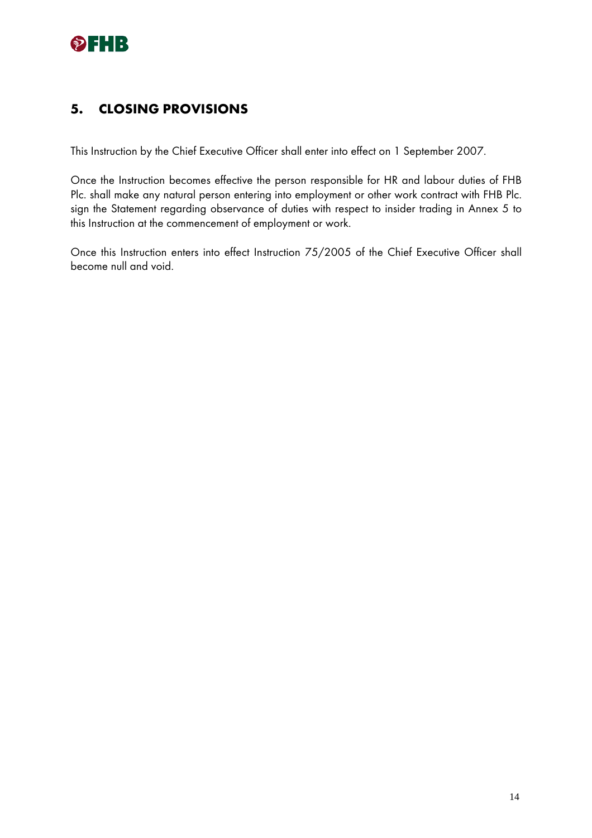

# **5. CLOSING PROVISIONS**

This Instruction by the Chief Executive Officer shall enter into effect on 1 September 2007.

Once the Instruction becomes effective the person responsible for HR and labour duties of FHB Plc. shall make any natural person entering into employment or other work contract with FHB Plc. sign the Statement regarding observance of duties with respect to insider trading in Annex 5 to this Instruction at the commencement of employment or work.

Once this Instruction enters into effect Instruction 75/2005 of the Chief Executive Officer shall become null and void.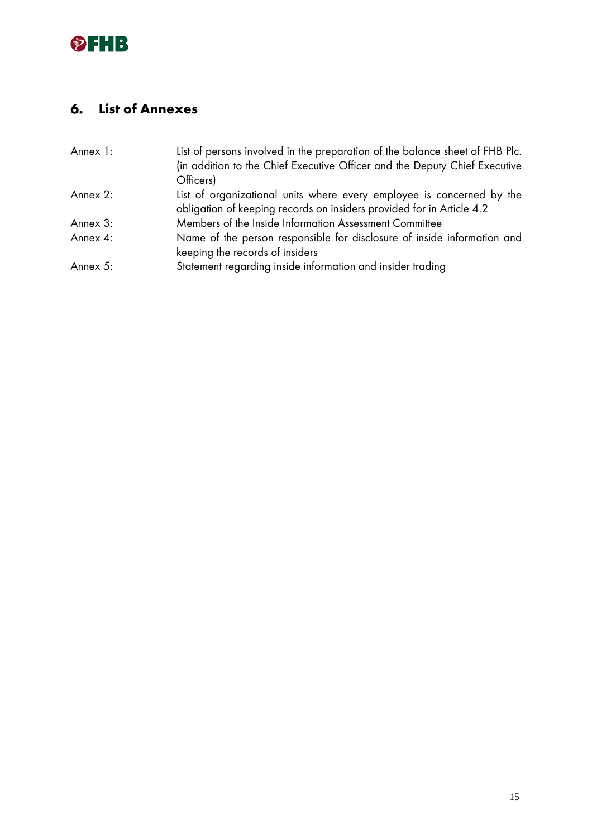

# **6. List of Annexes**

| Annex 1: | List of persons involved in the preparation of the balance sheet of FHB Plc.                                                                   |
|----------|------------------------------------------------------------------------------------------------------------------------------------------------|
|          | (in addition to the Chief Executive Officer and the Deputy Chief Executive<br>Officers)                                                        |
| Annex 2: | List of organizational units where every employee is concerned by the<br>obligation of keeping records on insiders provided for in Article 4.2 |
| Annex 3: | Members of the Inside Information Assessment Committee                                                                                         |
| Annex 4: | Name of the person responsible for disclosure of inside information and<br>keeping the records of insiders                                     |
| Annex 5: | Statement regarding inside information and insider trading                                                                                     |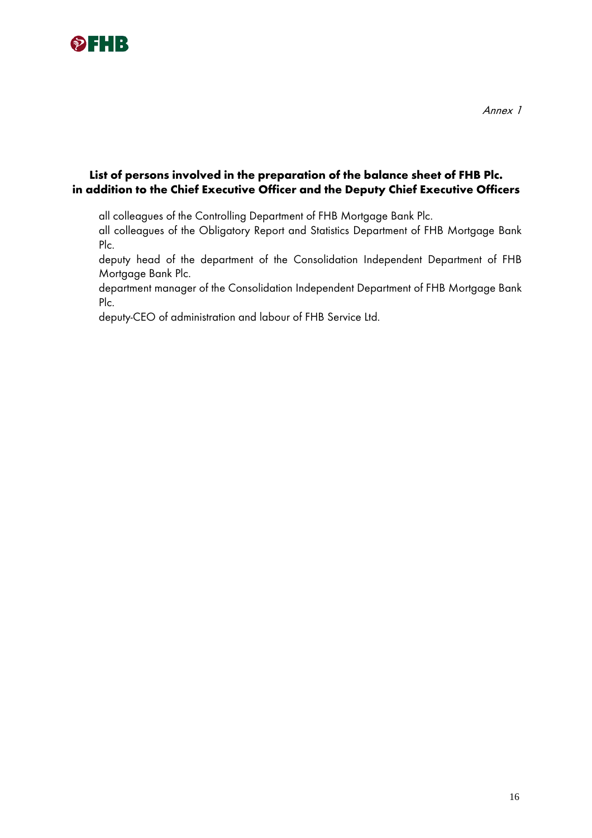

## **List of persons involved in the preparation of the balance sheet of FHB Plc. in addition to the Chief Executive Officer and the Deputy Chief Executive Officers**

all colleagues of the Controlling Department of FHB Mortgage Bank Plc.

all colleagues of the Obligatory Report and Statistics Department of FHB Mortgage Bank Plc.

deputy head of the department of the Consolidation Independent Department of FHB Mortgage Bank Plc.

department manager of the Consolidation Independent Department of FHB Mortgage Bank Plc.

deputy-CEO of administration and labour of FHB Service Ltd.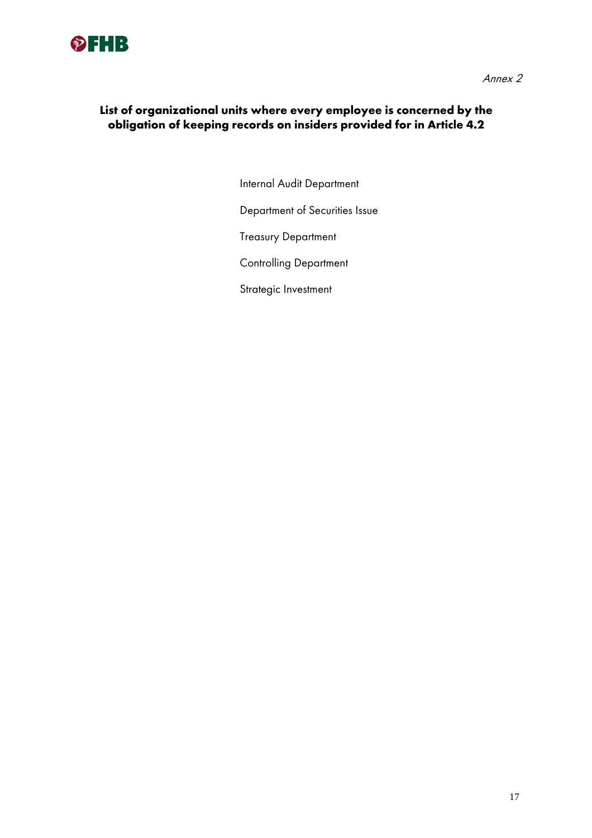

## **List of organizational units where every employee is concerned by the obligation of keeping records on insiders provided for in Article 4.2**

Internal Audit Department

Department of Securities Issue

Treasury Department

Controlling Department

Strategic Investment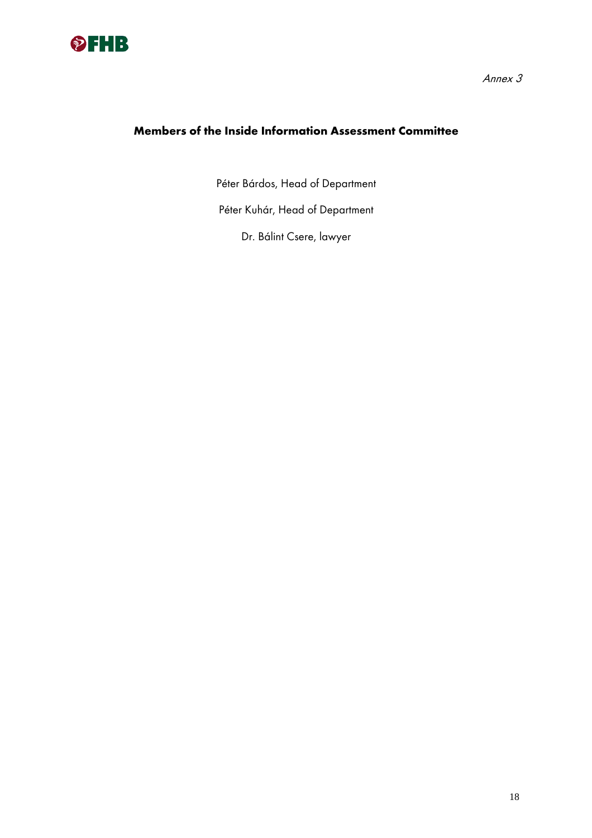

# **Members of the Inside Information Assessment Committee**

Péter Bárdos, Head of Department

Péter Kuhár, Head of Department

Dr. Bálint Csere, lawyer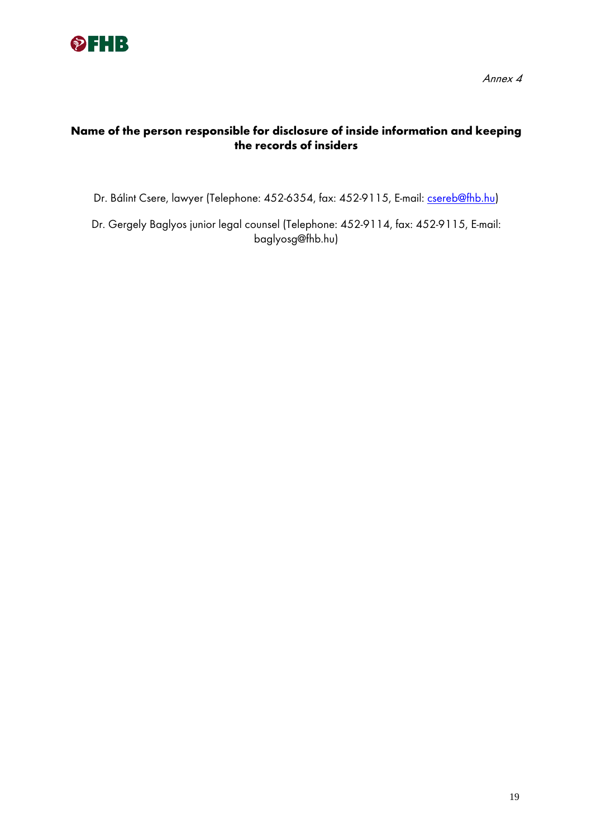

# **Name of the person responsible for disclosure of inside information and keeping the records of insiders**

Dr. Bálint Csere, lawyer (Telephone: 452-6354, fax: 452-9115, E-mail: csereb@fhb.hu)

Dr. Gergely Baglyos junior legal counsel (Telephone: 452-9114, fax: 452-9115, E-mail: baglyosg@fhb.hu)